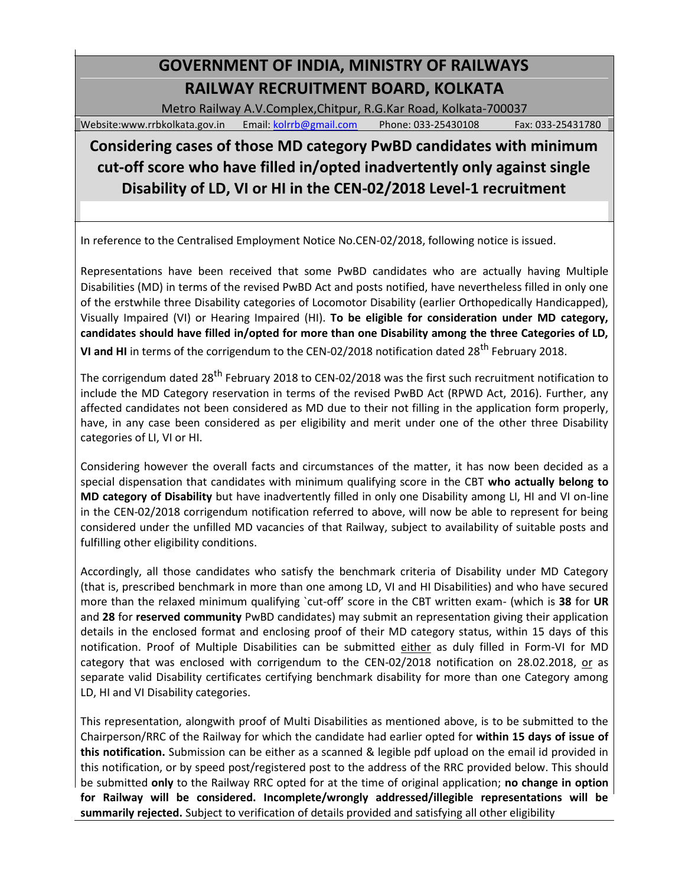# **GOVERNMENT OF INDIA, MINISTRY OF RAILWAYS RAILWAY RECRUITMENT BOARD, KOLKATA**

Metro Railway A.V.Complex,Chitpur, R.G.Kar Road, Kolkata-700037

### Website:www.rrbkolkata.gov.in Email: [kolrrb@gmail.com](mailto:kolrrb@gmail.com) Phone: 033-25430108 Fax: 033-25431780

## **Considering cases of those MD category PwBD candidates with minimum cut-off score who have filled in/opted inadvertently only against single Disability of LD, VI or HI in the CEN-02/2018 Level-1 recruitment**

In reference to the Centralised Employment Notice No.CEN-02/2018, following notice is issued.

Representations have been received that some PwBD candidates who are actually having Multiple Disabilities (MD) in terms of the revised PwBD Act and posts notified, have nevertheless filled in only one of the erstwhile three Disability categories of Locomotor Disability (earlier Orthopedically Handicapped), Visually Impaired (VI) or Hearing Impaired (HI). **To be eligible for consideration under MD category, candidates should have filled in/opted for more than one Disability among the three Categories of LD,**  VI and HI in terms of the corrigendum to the CEN-02/2018 notification dated 28<sup>th</sup> February 2018.

The corrigendum dated 28<sup>th</sup> February 2018 to CEN-02/2018 was the first such recruitment notification to include the MD Category reservation in terms of the revised PwBD Act (RPWD Act, 2016). Further, any affected candidates not been considered as MD due to their not filling in the application form properly, have, in any case been considered as per eligibility and merit under one of the other three Disability categories of LI, VI or HI.

Considering however the overall facts and circumstances of the matter, it has now been decided as a special dispensation that candidates with minimum qualifying score in the CBT **who actually belong to MD category of Disability** but have inadvertently filled in only one Disability among LI, HI and VI on-line in the CEN-02/2018 corrigendum notification referred to above, will now be able to represent for being considered under the unfilled MD vacancies of that Railway, subject to availability of suitable posts and fulfilling other eligibility conditions.

Accordingly, all those candidates who satisfy the benchmark criteria of Disability under MD Category (that is, prescribed benchmark in more than one among LD, VI and HI Disabilities) and who have secured more than the relaxed minimum qualifying `cut-off' score in the CBT written exam- (which is **38** for **UR** and **28** for **reserved community** PwBD candidates) may submit an representation giving their application details in the enclosed format and enclosing proof of their MD category status, within 15 days of this notification. Proof of Multiple Disabilities can be submitted either as duly filled in Form-VI for MD category that was enclosed with corrigendum to the CEN-02/2018 notification on 28.02.2018, or as separate valid Disability certificates certifying benchmark disability for more than one Category among LD, HI and VI Disability categories.

This representation, alongwith proof of Multi Disabilities as mentioned above, is to be submitted to the Chairperson/RRC of the Railway for which the candidate had earlier opted for **within 15 days of issue of this notification.** Submission can be either as a scanned & legible pdf upload on the email id provided in this notification, or by speed post/registered post to the address of the RRC provided below. This should be submitted **only** to the Railway RRC opted for at the time of original application; **no change in option for Railway will be considered. Incomplete/wrongly addressed/illegible representations will be summarily rejected.** Subject to verification of details provided and satisfying all other eligibility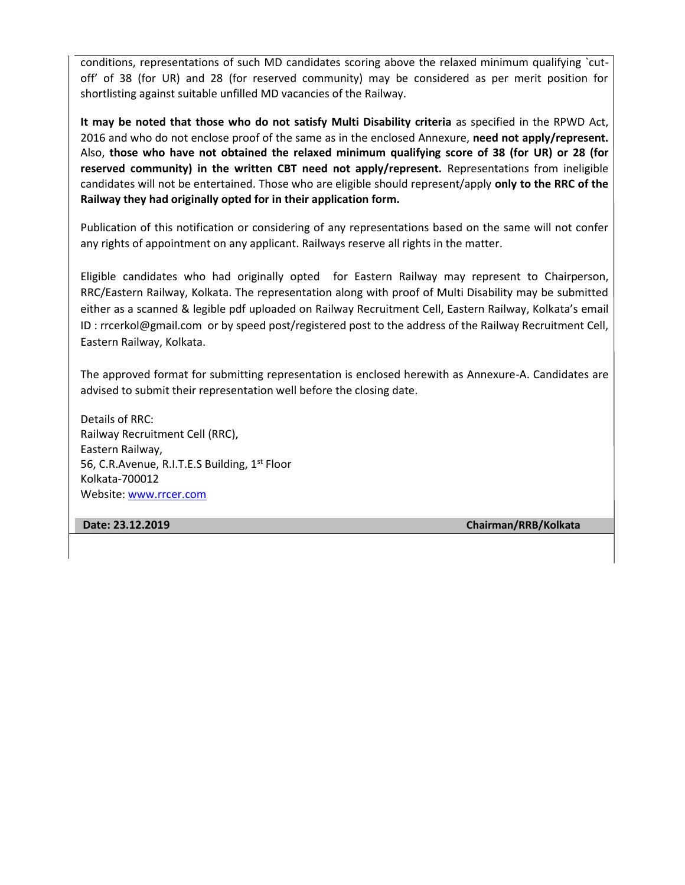conditions, representations of such MD candidates scoring above the relaxed minimum qualifying `cutoff' of 38 (for UR) and 28 (for reserved community) may be considered as per merit position for shortlisting against suitable unfilled MD vacancies of the Railway.

**It may be noted that those who do not satisfy Multi Disability criteria** as specified in the RPWD Act, 2016 and who do not enclose proof of the same as in the enclosed Annexure, **need not apply/represent.** Also, **those who have not obtained the relaxed minimum qualifying score of 38 (for UR) or 28 (for reserved community) in the written CBT need not apply/represent.** Representations from ineligible candidates will not be entertained. Those who are eligible should represent/apply **only to the RRC of the Railway they had originally opted for in their application form.**

Publication of this notification or considering of any representations based on the same will not confer any rights of appointment on any applicant. Railways reserve all rights in the matter.

Eligible candidates who had originally opted for Eastern Railway may represent to Chairperson, RRC/Eastern Railway, Kolkata. The representation along with proof of Multi Disability may be submitted either as a scanned & legible pdf uploaded on Railway Recruitment Cell, Eastern Railway, Kolkata's email ID : rrcerkol@gmail.com or by speed post/registered post to the address of the Railway Recruitment Cell, Eastern Railway, Kolkata.

The approved format for submitting representation is enclosed herewith as Annexure-A. Candidates are advised to submit their representation well before the closing date.

Details of RRC: Railway Recruitment Cell (RRC), Eastern Railway, 56, C.R.Avenue, R.I.T.E.S Building, 1<sup>st</sup> Floor Kolkata-700012 Website[: www.rrcer.com](http://www.rrcer.com/)

**Date: 23.12.2019 Chairman/RRB/Kolkata**